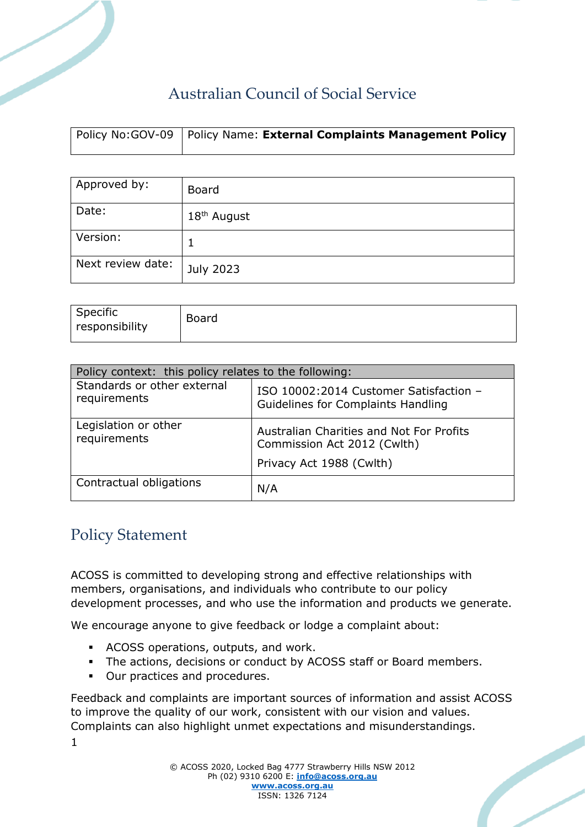# Australian Council of Social Service

| Policy No: GOV-09   Policy Name: External Complaints Management Policy |
|------------------------------------------------------------------------|
|                                                                        |

| Approved by:      | Board                   |
|-------------------|-------------------------|
| Date:             | 18 <sup>th</sup> August |
| Version:          |                         |
| Next review date: | July 2023               |

| Specific<br>responsibility | Board |
|----------------------------|-------|
|                            |       |

| Policy context: this policy relates to the following: |                                                                                                     |  |  |  |
|-------------------------------------------------------|-----------------------------------------------------------------------------------------------------|--|--|--|
| Standards or other external<br>requirements           | ISO 10002:2014 Customer Satisfaction -<br>Guidelines for Complaints Handling                        |  |  |  |
| Legislation or other<br>requirements                  | Australian Charities and Not For Profits<br>Commission Act 2012 (Cwlth)<br>Privacy Act 1988 (Cwlth) |  |  |  |
| Contractual obligations                               | N/A                                                                                                 |  |  |  |

### Policy Statement

1

ACOSS is committed to developing strong and effective relationships with members, organisations, and individuals who contribute to our policy development processes, and who use the information and products we generate.

We encourage anyone to give feedback or lodge a complaint about:

- ACOSS operations, outputs, and work.
- **.** The actions, decisions or conduct by ACOSS staff or Board members.
- Our practices and procedures.

Feedback and complaints are important sources of information and assist ACOSS to improve the quality of our work, consistent with our vision and values. Complaints can also highlight unmet expectations and misunderstandings.

> © ACOSS 2020, Locked Bag 4777 Strawberry Hills NSW 2012 Ph (02) 9310 6200 E: **[info@acoss.org.au](mailto:info@acoss.org.au) [www.acoss.org.au](http://www.acoss.org.au/)** ISSN: 1326 7124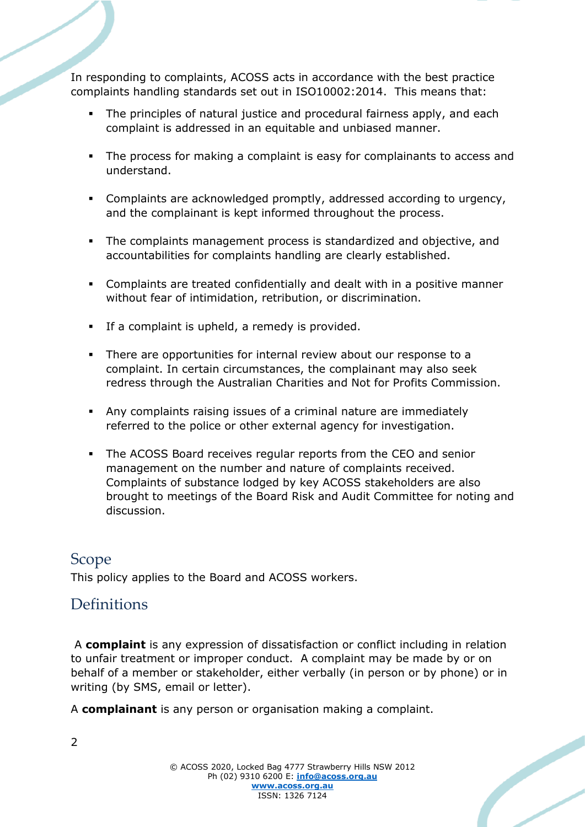In responding to complaints, ACOSS acts in accordance with the best practice complaints handling standards set out in ISO10002:2014. This means that:

- The principles of natural justice and procedural fairness apply, and each complaint is addressed in an equitable and unbiased manner.
- The process for making a complaint is easy for complainants to access and understand.
- Complaints are acknowledged promptly, addressed according to urgency, and the complainant is kept informed throughout the process.
- The complaints management process is standardized and objective, and accountabilities for complaints handling are clearly established.
- Complaints are treated confidentially and dealt with in a positive manner without fear of intimidation, retribution, or discrimination.
- If a complaint is upheld, a remedy is provided.
- There are opportunities for internal review about our response to a complaint. In certain circumstances, the complainant may also seek redress through the Australian Charities and Not for Profits Commission.
- Any complaints raising issues of a criminal nature are immediately referred to the police or other external agency for investigation.
- The ACOSS Board receives regular reports from the CEO and senior management on the number and nature of complaints received. Complaints of substance lodged by key ACOSS stakeholders are also brought to meetings of the Board Risk and Audit Committee for noting and discussion.

### Scope

This policy applies to the Board and ACOSS workers.

### Definitions

A **complaint** is any expression of dissatisfaction or conflict including in relation to unfair treatment or improper conduct. A complaint may be made by or on behalf of a member or stakeholder, either verbally (in person or by phone) or in writing (by SMS, email or letter).

A **complainant** is any person or organisation making a complaint.